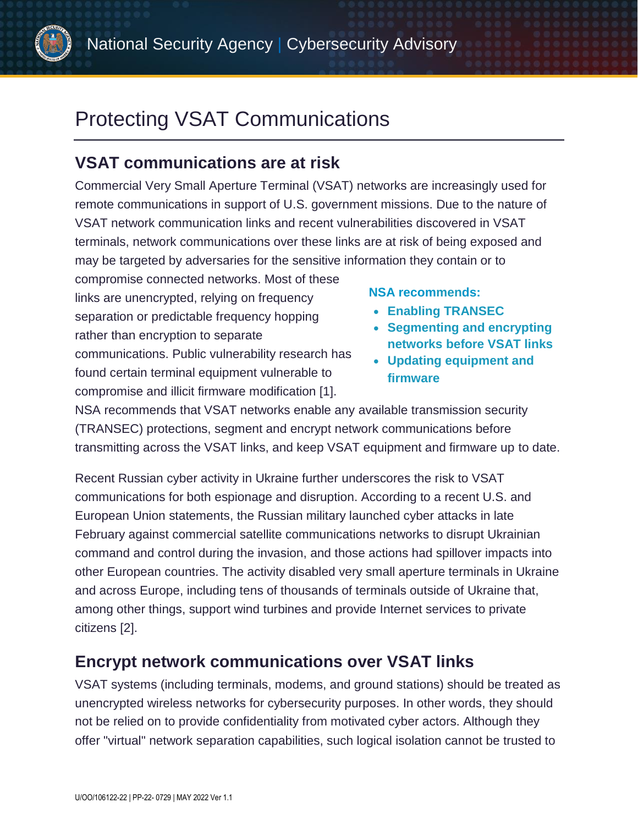

# Protecting VSAT Communications

# **VSAT communications are at risk**

Commercial Very Small Aperture Terminal (VSAT) networks are increasingly used for remote communications in support of U.S. government missions. Due to the nature of VSAT network communication links and recent vulnerabilities discovered in VSAT terminals, network communications over these links are at risk of being exposed and may be targeted by adversaries for the sensitive information they contain or to

compromise connected networks. Most of these links are unencrypted, relying on frequency separation or predictable frequency hopping rather than encryption to separate communications. Public vulnerability research has found certain terminal equipment vulnerable to compromise and illicit firmware modification [1].

### **NSA recommends:**

- **Enabling TRANSEC**
- **Segmenting and encrypting networks before VSAT links**
- **Updating equipment and firmware**

NSA recommends that VSAT networks enable any available transmission security (TRANSEC) protections, segment and encrypt network communications before transmitting across the VSAT links, and keep VSAT equipment and firmware up to date.

Recent Russian cyber activity in Ukraine further underscores the risk to VSAT communications for both espionage and disruption. According to a recent U.S. and European Union statements, the Russian military launched cyber attacks in late February against commercial satellite communications networks to disrupt Ukrainian command and control during the invasion, and those actions had spillover impacts into other European countries. The activity disabled very small aperture terminals in Ukraine and across Europe, including tens of thousands of terminals outside of Ukraine that, among other things, support wind turbines and provide Internet services to private citizens [2].

# **Encrypt network communications over VSAT links**

VSAT systems (including terminals, modems, and ground stations) should be treated as unencrypted wireless networks for cybersecurity purposes. In other words, they should not be relied on to provide confidentiality from motivated cyber actors. Although they offer "virtual" network separation capabilities, such logical isolation cannot be trusted to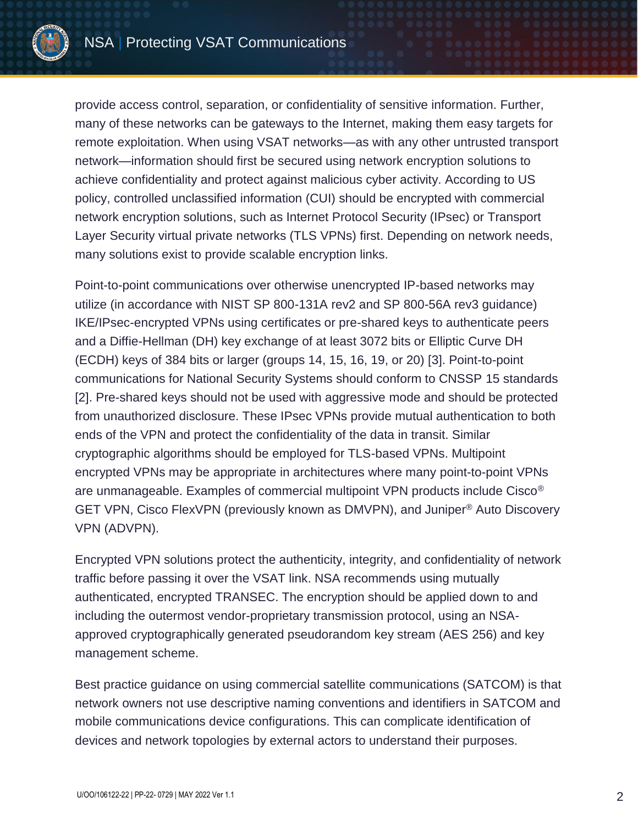

provide access control, separation, or confidentiality of sensitive information. Further, many of these networks can be gateways to the Internet, making them easy targets for remote exploitation. When using VSAT networks—as with any other untrusted transport network—information should first be secured using network encryption solutions to achieve confidentiality and protect against malicious cyber activity. According to US policy, controlled unclassified information (CUI) should be encrypted with commercial network encryption solutions, such as Internet Protocol Security (IPsec) or Transport Layer Security virtual private networks (TLS VPNs) first. Depending on network needs, many solutions exist to provide scalable encryption links.

Point-to-point communications over otherwise unencrypted IP-based networks may utilize (in accordance with NIST SP 800-131A rev2 and SP 800-56A rev3 guidance) IKE/IPsec-encrypted VPNs using certificates or pre-shared keys to authenticate peers and a Diffie-Hellman (DH) key exchange of at least 3072 bits or Elliptic Curve DH (ECDH) keys of 384 bits or larger (groups 14, 15, 16, 19, or 20) [3]. Point-to-point communications for National Security Systems should conform to CNSSP 15 standards [2]. Pre-shared keys should not be used with aggressive mode and should be protected from unauthorized disclosure. These IPsec VPNs provide mutual authentication to both ends of the VPN and protect the confidentiality of the data in transit. Similar cryptographic algorithms should be employed for TLS-based VPNs. Multipoint encrypted VPNs may be appropriate in architectures where many point-to-point VPNs are unmanageable. Examples of commercial multipoint VPN products include Cisco® GET VPN, Cisco FlexVPN (previously known as DMVPN), and Juniper® Auto Discovery VPN (ADVPN).

Encrypted VPN solutions protect the authenticity, integrity, and confidentiality of network traffic before passing it over the VSAT link. NSA recommends using mutually authenticated, encrypted TRANSEC. The encryption should be applied down to and including the outermost vendor-proprietary transmission protocol, using an NSAapproved cryptographically generated pseudorandom key stream (AES 256) and key management scheme.

Best practice guidance on using commercial satellite communications (SATCOM) is that network owners not use descriptive naming conventions and identifiers in SATCOM and mobile communications device configurations. This can complicate identification of devices and network topologies by external actors to understand their purposes.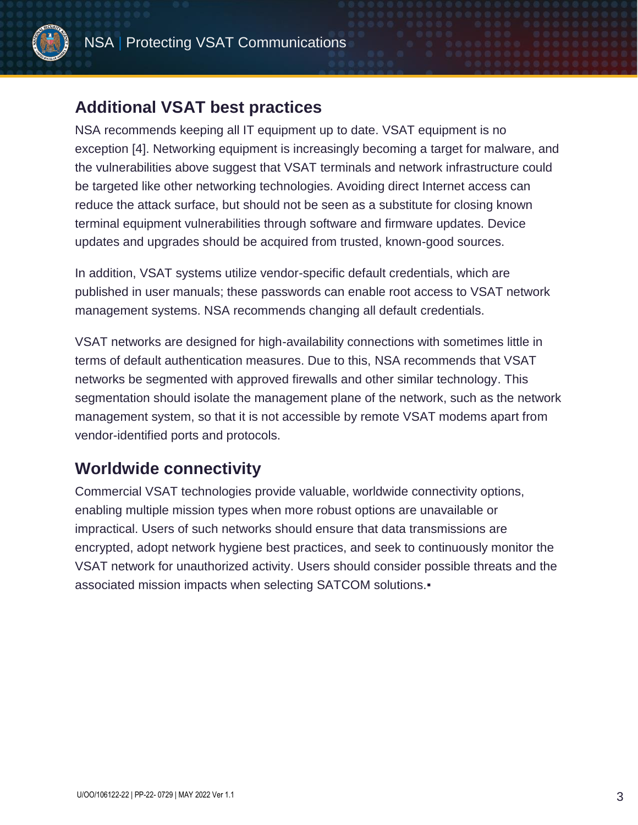

### **Additional VSAT best practices**

NSA recommends keeping all IT equipment up to date. VSAT equipment is no exception [4]. Networking equipment is increasingly becoming a target for malware, and the vulnerabilities above suggest that VSAT terminals and network infrastructure could be targeted like other networking technologies. Avoiding direct Internet access can reduce the attack surface, but should not be seen as a substitute for closing known terminal equipment vulnerabilities through software and firmware updates. Device updates and upgrades should be acquired from trusted, known-good sources.

In addition, VSAT systems utilize vendor-specific default credentials, which are published in user manuals; these passwords can enable root access to VSAT network management systems. NSA recommends changing all default credentials.

VSAT networks are designed for high-availability connections with sometimes little in terms of default authentication measures. Due to this, NSA recommends that VSAT networks be segmented with approved firewalls and other similar technology. This segmentation should isolate the management plane of the network, such as the network management system, so that it is not accessible by remote VSAT modems apart from vendor-identified ports and protocols.

# **Worldwide connectivity**

Commercial VSAT technologies provide valuable, worldwide connectivity options, enabling multiple mission types when more robust options are unavailable or impractical. Users of such networks should ensure that data transmissions are encrypted, adopt network hygiene best practices, and seek to continuously monitor the VSAT network for unauthorized activity. Users should consider possible threats and the associated mission impacts when selecting SATCOM solutions.▪